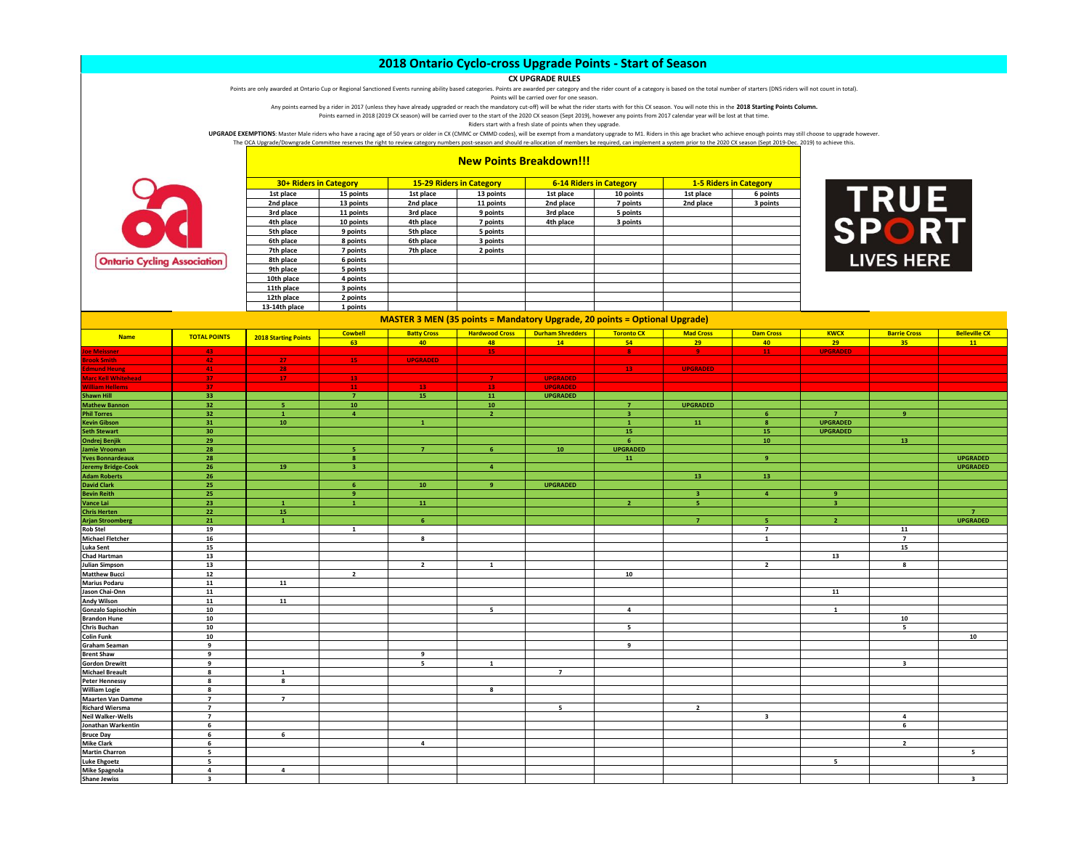## **CX UPGRADE RULES**

Points are only awarded at Ontario Cup or Regional Sanctioned Events running ability based categories. Points are awarded per category and the rider count of a category is based on the total number of starters (DNS riders

Points will be carried over for one season.

Any points earned by a rider in 2017 (unless they have already upgraded or reach the mandatory cut-off) will be what the rider starts with for this CX season. You will note this in the **2018 Starting Points Column.** Points earned in 2018 (2019 CX season) will be carried over to the start of the 2020 CX season (Sept 2019), however any points from 2017 calendar year will be lost at that time.

Riders start with a fresh slate of points when they upgrade.

UPGRADE EXEMPTIONS: Master Male riders who have a racing age of 50 years or older in CX (CMMC or CMMD codes), will be exempt from a mandatory upgrade to M1. Riders in this age bracket who achieve enough points may still ch The OCA Upgrade/Downgrade Committee reserves the right to review category numbers post-season and should re-allocation of members be required, can implement a system prior to the 2020 CX season (Sept 2019-Dec. 2019) to ach



|  |  | <b>New Points Breakdown!!!</b> |
|--|--|--------------------------------|
|--|--|--------------------------------|

|               | 30+ Riders in Category |           | <b>15-29 Riders in Category</b> |           | <b>6-14 Riders in Category</b> | <b>1-5 Riders in Category</b> |          |
|---------------|------------------------|-----------|---------------------------------|-----------|--------------------------------|-------------------------------|----------|
| 1st place     | 15 points              | 1st place | 13 points                       | 1st place | 10 points                      | 1st place                     | 6 points |
| 2nd place     | 13 points              | 2nd place | 11 points                       | 2nd place | 7 points                       | 2nd place                     | 3 points |
| 3rd place     | 11 points              | 3rd place | 9 points                        | 3rd place | 5 points                       |                               |          |
| 4th place     | 10 points              | 4th place | 7 points                        | 4th place | 3 points                       |                               |          |
| 5th place     | 9 points               | 5th place | 5 points                        |           |                                |                               |          |
| 6th place     | 8 points               | 6th place | 3 points                        |           |                                |                               |          |
| 7th place     | 7 points               | 7th place | 2 points                        |           |                                |                               |          |
| 8th place     | 6 points               |           |                                 |           |                                |                               |          |
| 9th place     | 5 points               |           |                                 |           |                                |                               |          |
| 10th place    | 4 points               |           |                                 |           |                                |                               |          |
| 11th place    | 3 points               |           |                                 |           |                                |                               |          |
| 12th place    | 2 points               |           |                                 |           |                                |                               |          |
| 13-14th place | 1 points               |           |                                 |           |                                |                               |          |



|                            |                     | 13-14th place               | 1 points                |                                                                                   |                       |                         |                         |                         |                         |                 |                          |                      |
|----------------------------|---------------------|-----------------------------|-------------------------|-----------------------------------------------------------------------------------|-----------------------|-------------------------|-------------------------|-------------------------|-------------------------|-----------------|--------------------------|----------------------|
|                            |                     |                             |                         | <b>MASTER 3 MEN (35 points = Mandatory Upgrade, 20 points = Optional Upgrade)</b> |                       |                         |                         |                         |                         |                 |                          |                      |
| <b>Name</b>                | <b>TOTAL POINTS</b> |                             | <b>Cowbell</b>          | <b>Batty Cross</b>                                                                | <b>Hardwood Cross</b> | <b>Durham Shredders</b> | <b>Toronto CX</b>       | <b>Mad Cross</b>        | <b>Dam Cross</b>        | <b>KWCX</b>     | <b>Barrie Cross</b>      | <b>Belleville CX</b> |
|                            |                     | <b>2018 Starting Points</b> | 63                      | 40                                                                                | 48                    | 14                      | 54                      | 29                      | 40                      | 29              | 35                       | 11                   |
| <b>Joe Meissner</b>        | 43                  |                             |                         |                                                                                   | 15                    |                         | -8                      | -91                     | ${\bf 11}$              | <b>UPGRADED</b> |                          |                      |
| <b>Brook Smith</b>         | 42                  | 27 <sub>z</sub>             | 15                      | <b>UPGRADED</b>                                                                   |                       |                         |                         |                         |                         |                 |                          |                      |
| <b>Edmund Heun</b>         | 41                  | 28                          |                         |                                                                                   |                       |                         | $-13$                   | <b>UPGRADED</b>         |                         |                 |                          |                      |
| <b>Marc Kell Whitehead</b> | 37 <sub>1</sub>     | $-17$                       | 13                      |                                                                                   | $\mathbf{7}$          | <b>UPGRADED</b>         |                         |                         |                         |                 |                          |                      |
| William Hellems            | 37 <sup>2</sup>     |                             | $11$                    | 13 <sup>°</sup>                                                                   | 13                    | <b>UPGRADED</b>         |                         |                         |                         |                 |                          |                      |
| Shawn Hill                 | 33                  |                             | $\overline{7}$          | 15                                                                                | 11                    | <b>UPGRADED</b>         |                         |                         |                         |                 |                          |                      |
| <b>Mathew Bannon</b>       | 32 <sub>2</sub>     | is.                         | 10                      |                                                                                   | 10                    |                         | $\overline{7}$          | <b>UPGRADED</b>         |                         |                 |                          |                      |
| <b>Phil Torres</b>         | 32 <sub>2</sub>     | $\mathbf{1}$                | $\overline{4}$          |                                                                                   | $\overline{2}$        |                         | $\overline{\mathbf{3}}$ |                         | 6                       | $\overline{7}$  | $\overline{9}$           |                      |
| <b>Kevin Gibson</b>        | 31                  | 10                          |                         | $\mathbf{1}$                                                                      |                       |                         | $\mathbf{1}$            | ${\bf 11}$              | $\boldsymbol{8}$        | <b>UPGRADED</b> |                          |                      |
| <b>Seth Stewart</b>        | 30                  |                             |                         |                                                                                   |                       |                         | 15                      |                         | 15                      | <b>UPGRADED</b> |                          |                      |
| Ondrej Benjik              | 29                  |                             |                         |                                                                                   |                       |                         | 6                       |                         | $10$                    |                 | 13 <sup>°</sup>          |                      |
| Jamie Vrooman              | 28                  |                             | -5                      | $\overline{7}$                                                                    |                       | 10                      | <b>UPGRADED</b>         |                         |                         |                 |                          |                      |
| <b>Yves Bonnardeaux</b>    | 28                  |                             | 8                       |                                                                                   |                       |                         | 11                      |                         | 9                       |                 |                          | <b>UPGRADED</b>      |
| <b>Jeremy Bridge-Cook</b>  | 26                  | 19                          | $\overline{\mathbf{3}}$ |                                                                                   | $\overline{4}$        |                         |                         |                         |                         |                 |                          | <b>UPGRADED</b>      |
| <b>Adam Roberts</b>        | 26                  |                             |                         |                                                                                   |                       |                         |                         | 13                      | 13                      |                 |                          |                      |
| <b>David Clark</b>         | 25                  |                             | 6                       | 10                                                                                | $\overline{9}$        | <b>UPGRADED</b>         |                         |                         |                         |                 |                          |                      |
| <b>Bevin Reith</b>         | 25                  |                             | -9                      |                                                                                   |                       |                         |                         | $\overline{\mathbf{3}}$ | $\overline{4}$          | -9              |                          |                      |
| Vance Lai                  | 23                  | $\mathbf{1}$                | $\mathbf{1}$            | 11                                                                                |                       |                         | $\overline{2}$          | $\overline{\mathbf{5}}$ |                         | 3               |                          |                      |
| <b>Chris Herten</b>        | 22                  | 15                          |                         |                                                                                   |                       |                         |                         |                         |                         |                 |                          |                      |
| <b>Arjan Stroomberg</b>    | 21                  | $\mathbf{1}$                |                         | 6 <sup>1</sup>                                                                    |                       |                         |                         | $\overline{7}$          | ×                       | $\overline{2}$  |                          | <b>UPGRADED</b>      |
| <b>Rob Stel</b>            | 19                  |                             | $\mathbf{1}$            |                                                                                   |                       |                         |                         |                         | $\overline{7}$          |                 | 11                       |                      |
| <b>Michael Fletcher</b>    | 16                  |                             |                         | 8                                                                                 |                       |                         |                         |                         | $\mathbf{1}$            |                 | $\overline{7}$           |                      |
| Luka Sent                  | 15                  |                             |                         |                                                                                   |                       |                         |                         |                         |                         |                 | 15                       |                      |
| Chad Hartman               | 13                  |                             |                         |                                                                                   |                       |                         |                         |                         |                         | 13              |                          |                      |
| Julian Simpson             | 13                  |                             |                         | $\overline{2}$                                                                    | 1                     |                         |                         |                         | $\overline{2}$          |                 | 8                        |                      |
| <b>Matthew Bucci</b>       | 12                  |                             | $\overline{2}$          |                                                                                   |                       |                         | 10                      |                         |                         |                 |                          |                      |
| <b>Marius Podaru</b>       | ${\bf 11}$          | 11                          |                         |                                                                                   |                       |                         |                         |                         |                         |                 |                          |                      |
| Jason Chai-Onn             | 11                  |                             |                         |                                                                                   |                       |                         |                         |                         |                         | 11              |                          |                      |
| Andy Wilson                | ${\bf 11}$          | 11                          |                         |                                                                                   |                       |                         |                         |                         |                         |                 |                          |                      |
| Gonzalo Sapisochin         | 10                  |                             |                         |                                                                                   | 5                     |                         | $\overline{a}$          |                         |                         | $\mathbf{1}$    |                          |                      |
| <b>Brandon Hune</b>        | 10                  |                             |                         |                                                                                   |                       |                         |                         |                         |                         |                 | 10                       |                      |
| Chris Buchan               | 10                  |                             |                         |                                                                                   |                       |                         | 5                       |                         |                         |                 | $\overline{\phantom{a}}$ |                      |
| Colin Funk                 | 10                  |                             |                         |                                                                                   |                       |                         |                         |                         |                         |                 |                          | 10                   |
| Graham Seaman              | 9                   |                             |                         |                                                                                   |                       |                         | 9                       |                         |                         |                 |                          |                      |
| <b>Brent Shaw</b>          | 9                   |                             |                         | 9                                                                                 |                       |                         |                         |                         |                         |                 |                          |                      |
| <b>Gordon Drewitt</b>      | 9                   |                             |                         | 5                                                                                 | 1                     |                         |                         |                         |                         |                 | $\overline{\mathbf{3}}$  |                      |
| <b>Michael Breault</b>     | 8                   | 1                           |                         |                                                                                   |                       | $\overline{7}$          |                         |                         |                         |                 |                          |                      |
| <b>Peter Hennessy</b>      | $\mathbf{g}$        | $\mathbf{g}$                |                         |                                                                                   |                       |                         |                         |                         |                         |                 |                          |                      |
| William Logie              | 8                   |                             |                         |                                                                                   | 8                     |                         |                         |                         |                         |                 |                          |                      |
| <b>Maarten Van Damme</b>   | $\overline{7}$      | $\overline{7}$              |                         |                                                                                   |                       |                         |                         |                         |                         |                 |                          |                      |
| <b>Richard Wiersma</b>     | $\overline{7}$      |                             |                         |                                                                                   |                       | 5                       |                         | $\overline{2}$          |                         |                 |                          |                      |
| Neil Walker-Wells          | $\overline{7}$      |                             |                         |                                                                                   |                       |                         |                         |                         | $\overline{\mathbf{3}}$ |                 | $\overline{a}$           |                      |
| Jonathan Warkentin         | 6                   |                             |                         |                                                                                   |                       |                         |                         |                         |                         |                 | 6                        |                      |
| <b>Bruce Day</b>           | $\overline{6}$      | 6                           |                         |                                                                                   |                       |                         |                         |                         |                         |                 |                          |                      |
| Mike Clark                 | 6                   |                             |                         | $\overline{a}$                                                                    |                       |                         |                         |                         |                         |                 | $\overline{2}$           |                      |
| <b>Martin Charron</b>      | 5                   |                             |                         |                                                                                   |                       |                         |                         |                         |                         |                 |                          | 5                    |
| Luke Ehgoetz               | $5^{\circ}$         |                             |                         |                                                                                   |                       |                         |                         |                         |                         | 5               |                          |                      |
| Mike Spagnola              | 4                   | 4                           |                         |                                                                                   |                       |                         |                         |                         |                         |                 |                          |                      |
|                            |                     |                             |                         |                                                                                   |                       |                         |                         |                         |                         |                 |                          |                      |

**Shane Jewiss 3 3**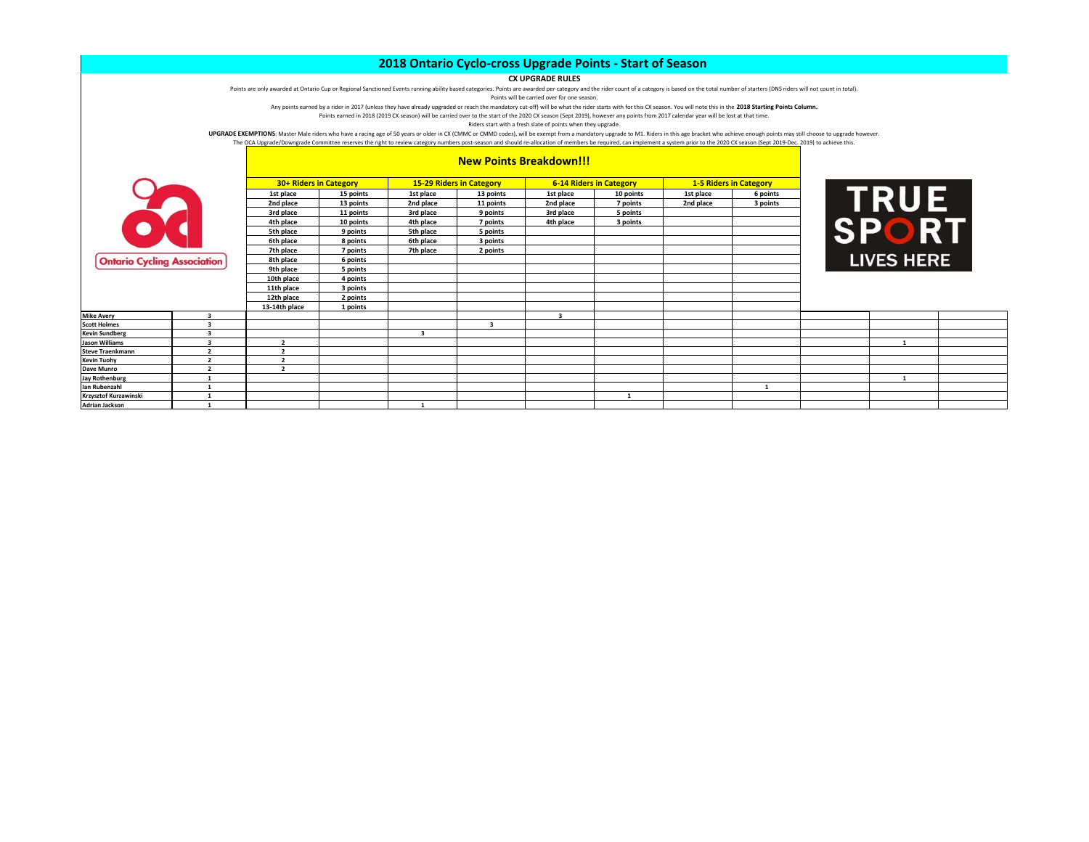## **CX UPGRADE RULES**

Points are only awarded at Ontario Cup or Regional Sanctioned Events running ability based categories. Points are awarded per category and the rider count of a category is based on the total number of starters (DNS riders

Points will be carried over for one season.

Any points earned by a rider in 2017 (unless they have already upgraded or reach the mandatory cut-off) will be what the rider starts with for this CX season. You will note this in the **2018 Starting Points Column.**

Points earned in 2018 (2019 CX season) will be carried over to the start of the 2020 CX season (Sept 2019), however any points from 2017 calendar year will be lost at that time.

Riders start with a fresh slate of points when they upgrade.

UPGRADE EXEMPTIONS: Master Male riders who have a racing age of 50 years or older in CX (CMMC or CMMD codes), will be exempt from a mandatory upgrade to M1. Riders in this age bracket who achieve enough points may still ch The OCA Upgrade/Downgrade Committee reserves the right to review category numbers post-season and should re-allocation of members be required, can implement a system prior to the 2020 CX season (Sept 2019-Dec. 2019) to ach

# **Ontario Cycling**

**Steve Traenkmann Kevin Tuohy 2 2 Dave Munro**<br>**Jay Rothenburg** 

**Adrian Jackson** 

|  |  |  | <b>New Points Breakdown!!!</b> |
|--|--|--|--------------------------------|
|--|--|--|--------------------------------|

|                                          |    | 30+ Riders in Category |           |                         | <b>15-29 Riders in Category</b> |                         | <b>6-14 Riders in Category</b> |           | <b>1-5 Riders in Category</b> |           |                |
|------------------------------------------|----|------------------------|-----------|-------------------------|---------------------------------|-------------------------|--------------------------------|-----------|-------------------------------|-----------|----------------|
|                                          |    | 1st place              | 15 points | 1st place               | 13 points                       | 1st place               | 10 points                      | 1st place | 6 points                      |           | <b>TRU</b>     |
|                                          |    | 2nd place              | 13 points | 2nd place               | 11 points                       | 2nd place               | 7 points                       | 2nd place | 3 points                      |           |                |
|                                          |    | 3rd place              | 11 points | 3rd place               | 9 points                        | 3rd place               | 5 points                       |           |                               |           |                |
|                                          |    | 4th place              | 10 points | 4th place               | 7 points                        | 4th place               | 3 points                       |           |                               |           |                |
| $\bullet$                                |    | 5th place              | 9 points  | 5th place               | 5 points                        |                         |                                |           |                               | <b>SP</b> |                |
|                                          |    | 6th place              | 8 points  | 6th place               | 3 points                        |                         |                                |           |                               |           |                |
|                                          |    | 7th place              | 7 points  | 7th place               | 2 points                        |                         |                                |           |                               |           |                |
| <b>Ontario Cycling Association</b>       |    | 8th place              | 6 points  |                         |                                 |                         |                                |           |                               |           | <b>LIVES H</b> |
|                                          |    | 9th place              | 5 points  |                         |                                 |                         |                                |           |                               |           |                |
|                                          |    | 10th place             | 4 points  |                         |                                 |                         |                                |           |                               |           |                |
|                                          |    | 11th place             | 3 points  |                         |                                 |                         |                                |           |                               |           |                |
|                                          |    | 12th place             | 2 points  |                         |                                 |                         |                                |           |                               |           |                |
|                                          |    | 13-14th place          | 1 points  |                         |                                 |                         |                                |           |                               |           |                |
| <b>Mike Avery</b>                        | 3  |                        |           |                         |                                 | $\overline{\mathbf{3}}$ |                                |           |                               |           |                |
| <b>Scott Holmes</b>                      |    |                        |           |                         |                                 |                         |                                |           |                               |           |                |
| Kevin Sundberg                           |    |                        |           | $\overline{\mathbf{3}}$ |                                 |                         |                                |           |                               |           |                |
| Jason Williams                           | 3  |                        |           |                         |                                 |                         |                                |           |                               |           | $\mathbf{1}$   |
| Steve Traenkmann                         |    |                        |           |                         |                                 |                         |                                |           |                               |           |                |
| Kevin Tuohy                              | h, | $\overline{2}$         |           |                         |                                 |                         |                                |           |                               |           |                |
| Dave Munro                               | h, | $\overline{2}$         |           |                         |                                 |                         |                                |           |                               |           |                |
| Jay Rothenburg                           |    |                        |           |                         |                                 |                         |                                |           |                               |           | 1              |
| lan Rubenzahl                            |    |                        |           |                         |                                 |                         |                                |           | $\mathbf{1}$                  |           |                |
| Krzysztof Kurzawinski<br>Adrian Incluson |    |                        |           | $\mathbf{1}$            |                                 |                         |                                |           |                               |           |                |
|                                          |    |                        |           |                         |                                 |                         |                                |           |                               |           |                |

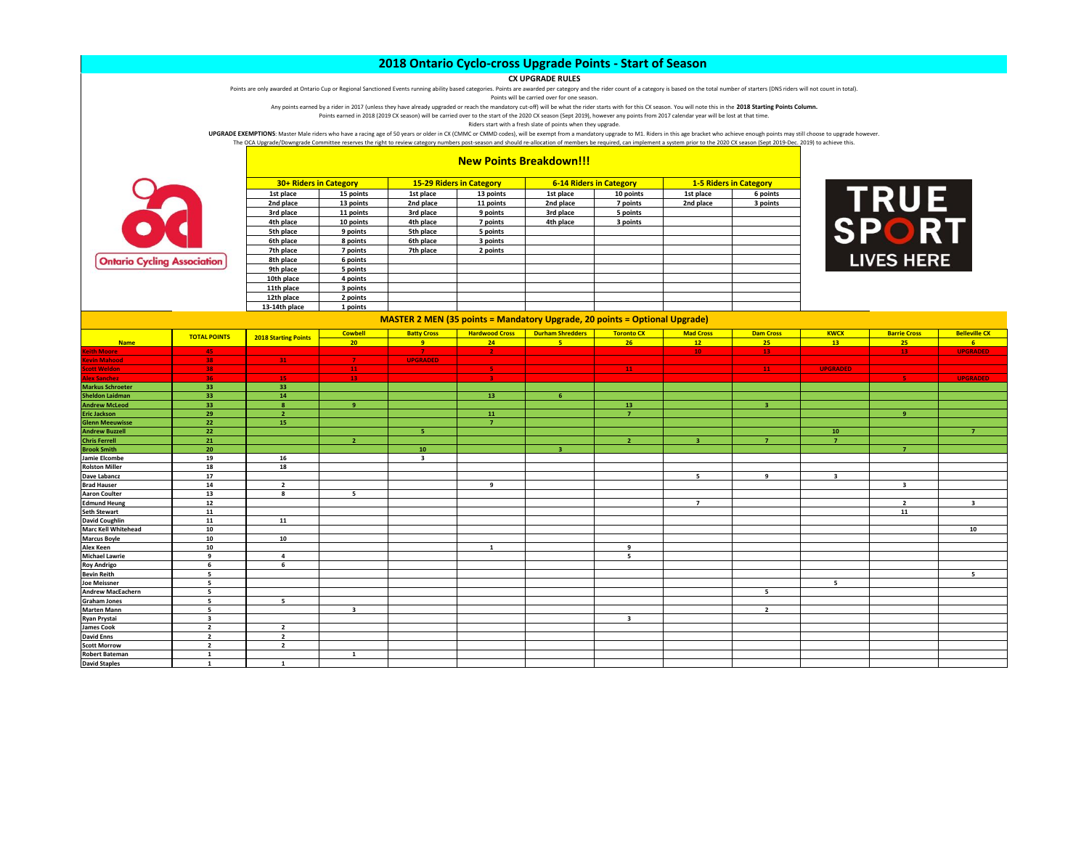### **CX UPGRADE RULES**

Points are only awarded at Ontario Cup or Regional Sanctioned Events running ability based categories. Points are awarded per category and the rider count of a category is based on the total number of starters (DNS riders

Points will be carried over for one season.

Any points earned by a rider in 2017 (unless they have already upgraded or reach the mandatory cut-off) will be what the rider starts with for this CX season. You will note this in the **2018 Starting Points Column.** Points earned in 2018 (2019 CX season) will be carried over to the start of the 2020 CX season (Sept 2019), however any points from 2017 calendar year will be lost at that time.

Riders start with a fresh slate of points when they upgrade.

UPGRADE EXEMPTIONS: Master Male riders who have a racing age of 50 years or older in CX (CMMC or CMMD codes), will be exempt from a mandatory upgrade to M1. Riders in this age bracket who achieve enough points may still ch

The OCA Upgrade/Downgrade Committee reserves the right to review category numbers post-season and should re-allocation of members be required, can implement a system prior to the 2020 CX season (Sept 2019-Dec. 2019) to ach



|  | <b>New Points Breakdown!!!</b> |  |  |  |
|--|--------------------------------|--|--|--|
|--|--------------------------------|--|--|--|

| 30+ Riders in Category |           | <b>15-29 Riders in Category</b> |           | <b>6-14 Riders in Category</b> |           |           | <b>1-5 Riders in Category</b> |
|------------------------|-----------|---------------------------------|-----------|--------------------------------|-----------|-----------|-------------------------------|
| 1st place              | 15 points | 1st place                       | 13 points | 1st place                      | 10 points | 1st place | 6 points                      |
| 2nd place              | 13 points | 2nd place                       | 11 points | 2nd place                      | 7 points  | 2nd place | 3 points                      |
| 3rd place              | 11 points | 3rd place                       | 9 points  | 3rd place                      | 5 points  |           |                               |
| 4th place              | 10 points | 4th place                       | 7 points  | 4th place                      | 3 points  |           |                               |
| 5th place              | 9 points  | 5th place                       | 5 points  |                                |           |           |                               |
| 6th place              | 8 points  | 6th place                       | 3 points  |                                |           |           |                               |
| 7th place              | 7 points  | 7th place                       | 2 points  |                                |           |           |                               |
| 8th place              | 6 points  |                                 |           |                                |           |           |                               |
| 9th place              | 5 points  |                                 |           |                                |           |           |                               |
| 10th place             | 4 points  |                                 |           |                                |           |           |                               |
| 11th place             | 3 points  |                                 |           |                                |           |           |                               |
| 12th place             | 2 points  |                                 |           |                                |           |           |                               |
| 13-14th place          | 1 points  |                                 |           |                                |           |           |                               |



|                            |                         | 13-14th place               | 1 points                |                         |                       |                                                                                   |                         |                  |                  |                 |                         |                         |
|----------------------------|-------------------------|-----------------------------|-------------------------|-------------------------|-----------------------|-----------------------------------------------------------------------------------|-------------------------|------------------|------------------|-----------------|-------------------------|-------------------------|
|                            |                         |                             |                         |                         |                       | <b>MASTER 2 MEN (35 points = Mandatory Upgrade, 20 points = Optional Upgrade)</b> |                         |                  |                  |                 |                         |                         |
|                            | <b>TOTAL POINTS</b>     | <b>2018 Starting Points</b> | <b>Cowbell</b>          | <b>Batty Cross</b>      | <b>Hardwood Cross</b> | <b>Durham Shredders</b>                                                           | <b>Toronto CX</b>       | <b>Mad Cross</b> | <b>Dam Cross</b> | <b>KWCX</b>     | <b>Barrie Cross</b>     | <b>Belleville CX</b>    |
| <b>Name</b>                |                         |                             | 20                      | $\overline{9}$          | 24                    | 5.                                                                                | 26                      | 12               | 25               | 13 <sup>7</sup> | 25                      | 6                       |
| <b>Keith Moore</b>         | 45                      |                             |                         | $\mathbf{7}$            | $\mathbf{2}$          |                                                                                   |                         | 10 <sub>1</sub>  | 13               |                 | 13                      | <b>UPGRADED</b>         |
| <b>Kevin Mahood</b>        | 38                      | $31 -$                      | $\mathbf{7}$            | <b>UPGRADED</b>         |                       |                                                                                   |                         |                  |                  |                 |                         |                         |
| <b>Scott Weldon</b>        | 38                      |                             | 11                      |                         | -51                   |                                                                                   | $-11$                   |                  | 11               | <b>UPGRADED</b> |                         |                         |
| <b>Alex Sanchez</b>        | 36 <sub>1</sub>         | 15                          | $-13$                   |                         | $\mathbf{R}$          |                                                                                   |                         |                  |                  |                 | -51                     | <b>UPGRADED</b>         |
| <b>Markus Schroeter</b>    | 33                      | 33                          |                         |                         |                       |                                                                                   |                         |                  |                  |                 |                         |                         |
| <b>Sheldon Laidman</b>     | 33                      | 14                          |                         |                         | 13                    | 6                                                                                 |                         |                  |                  |                 |                         |                         |
| <b>Andrew McLeod</b>       | 33                      | $\mathbf{8}$                | -9                      |                         |                       |                                                                                   | 13                      |                  | -3               |                 |                         |                         |
| <b>Eric Jackson</b>        | 29                      | $\overline{2}$              |                         |                         | 11                    |                                                                                   | $\overline{7}$          |                  |                  |                 | -9                      |                         |
| <b>Glenn Meeuwisse</b>     | 22                      | 15                          |                         |                         | $\overline{7}$        |                                                                                   |                         |                  |                  |                 |                         |                         |
| <b>Andrew Buzzell</b>      | 22                      |                             |                         | к                       |                       |                                                                                   |                         |                  |                  | $10-10$         |                         | $\overline{7}$          |
| <b>Chris Ferrell</b>       | 21                      |                             | $\overline{2}$          |                         |                       |                                                                                   | $\overline{2}$          | $\overline{3}$   | $\overline{7}$   | $\overline{z}$  |                         |                         |
| <b>Brook Smith</b>         | 20                      |                             |                         | 10                      |                       | 3.                                                                                |                         |                  |                  |                 | $\overline{7}$          |                         |
| Jamie Elcombe              | 19                      | 16                          |                         | $\overline{\mathbf{3}}$ |                       |                                                                                   |                         |                  |                  |                 |                         |                         |
| <b>Rolston Miller</b>      | 18                      | 18                          |                         |                         |                       |                                                                                   |                         |                  |                  |                 |                         |                         |
| Dave Labancz               | 17                      |                             |                         |                         |                       |                                                                                   |                         | 5                | 9                | 3               |                         |                         |
| <b>Brad Hauser</b>         | 14                      | $\overline{2}$              |                         |                         | 9                     |                                                                                   |                         |                  |                  |                 | $\overline{\mathbf{3}}$ |                         |
| <b>Aaron Coulter</b>       | 13                      | $\mathbf{g}$                | 5                       |                         |                       |                                                                                   |                         |                  |                  |                 |                         |                         |
| <b>Edmund Heung</b>        | 12                      |                             |                         |                         |                       |                                                                                   |                         | $\overline{7}$   |                  |                 | $\overline{2}$          | $\overline{\mathbf{3}}$ |
| <b>Seth Stewart</b>        | 11                      |                             |                         |                         |                       |                                                                                   |                         |                  |                  |                 | 11                      |                         |
| <b>David Coughlin</b>      | 11                      | 11                          |                         |                         |                       |                                                                                   |                         |                  |                  |                 |                         |                         |
| <b>Marc Kell Whitehead</b> | 10                      |                             |                         |                         |                       |                                                                                   |                         |                  |                  |                 |                         | 10                      |
| <b>Marcus Boyle</b>        | 10                      | 10                          |                         |                         |                       |                                                                                   |                         |                  |                  |                 |                         |                         |
| <b>Alex Keen</b>           | 10                      |                             |                         |                         | 1                     |                                                                                   | 9                       |                  |                  |                 |                         |                         |
| <b>Michael Lawrie</b>      | 9                       | $\overline{a}$              |                         |                         |                       |                                                                                   | 5                       |                  |                  |                 |                         |                         |
| <b>Roy Andrigo</b>         | 6                       | 6                           |                         |                         |                       |                                                                                   |                         |                  |                  |                 |                         |                         |
| <b>Bevin Reith</b>         | 5                       |                             |                         |                         |                       |                                                                                   |                         |                  |                  |                 |                         | - 5                     |
| <b>Joe Meissner</b>        | 5                       |                             |                         |                         |                       |                                                                                   |                         |                  |                  | 5               |                         |                         |
| <b>Andrew MacEachern</b>   | 5                       |                             |                         |                         |                       |                                                                                   |                         |                  | 5                |                 |                         |                         |
| <b>Graham Jones</b>        | 5                       | 5                           |                         |                         |                       |                                                                                   |                         |                  |                  |                 |                         |                         |
| <b>Marten Mann</b>         | 5                       |                             | $\overline{\mathbf{3}}$ |                         |                       |                                                                                   |                         |                  | $\overline{2}$   |                 |                         |                         |
| <b>Ryan Prystai</b>        | $\overline{\mathbf{3}}$ |                             |                         |                         |                       |                                                                                   | $\overline{\mathbf{3}}$ |                  |                  |                 |                         |                         |
| <b>James Cook</b>          | $\overline{2}$          | $\overline{\phantom{a}}$    |                         |                         |                       |                                                                                   |                         |                  |                  |                 |                         |                         |
| <b>David Enns</b>          | $\overline{2}$          | $\overline{2}$              |                         |                         |                       |                                                                                   |                         |                  |                  |                 |                         |                         |
| <b>Scott Morrow</b>        | $\overline{2}$          | $\overline{2}$              |                         |                         |                       |                                                                                   |                         |                  |                  |                 |                         |                         |
| <b>Robert Bateman</b>      | $\mathbf{1}$            |                             | $\mathbf{1}$            |                         |                       |                                                                                   |                         |                  |                  |                 |                         |                         |
| <b>David Staples</b>       | $\mathbf{1}$            | -1                          |                         |                         |                       |                                                                                   |                         |                  |                  |                 |                         |                         |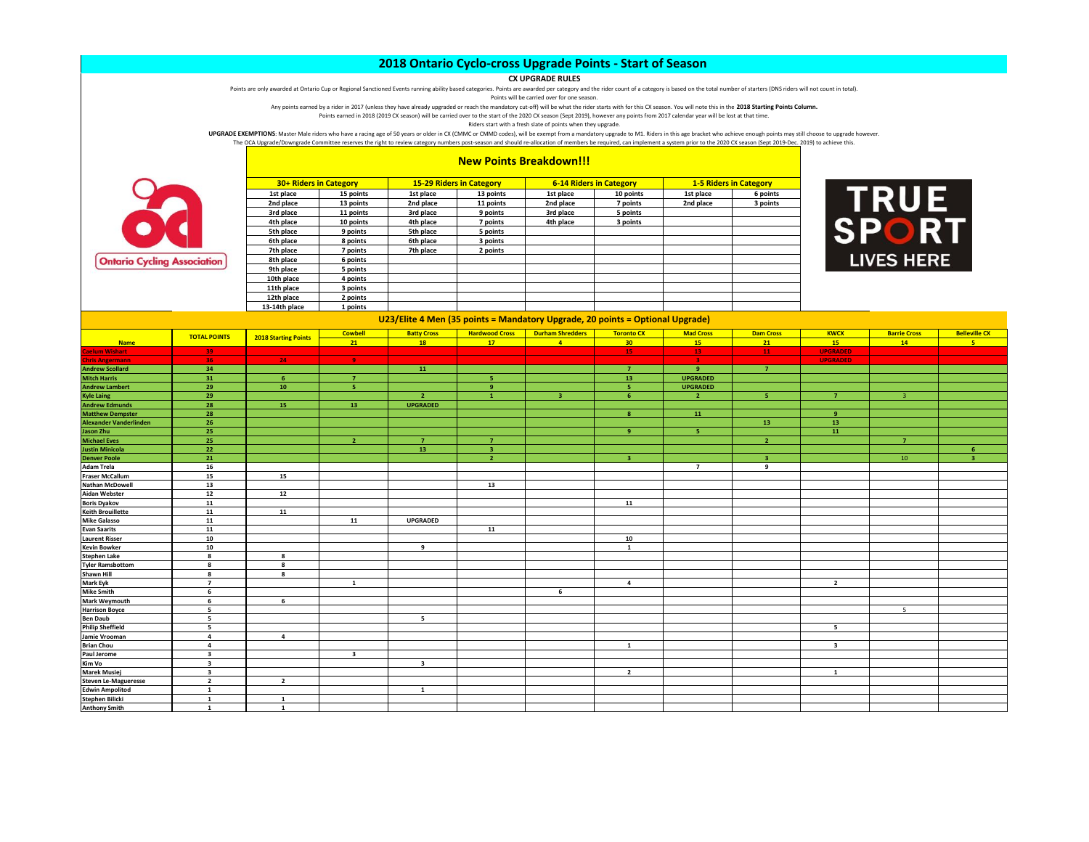## **CX UPGRADE RULES**

Points are only awarded at Ontario Cup or Regional Sanctioned Events running ability based categories. Points are awarded per category and the rider count of a category is based on the total number of starters (DNS riders

Points will be carried over for one season.

Any points earned by a rider in 2017 (unless they have already upgraded or reach the mandatory cut-off) will be what the rider starts with for this CX season. You will note this in the **2018 Starting Points Column.** Points earned in 2018 (2019 CX season) will be carried over to the start of the 2020 CX season (Sept 2019), however any points from 2017 calendar year will be lost at that time.

Riders start with a fresh slate of points when they upgrade.

UPGRADE EXEMPTIONS: Master Male riders who have a racing age of 50 years or older in CX (CMMC or CMMD codes), will be exempt from a mandatory upgrade to M1. Riders in this age bracket who achieve enough points may still ch The OCA Upgrade/Downgrade Committee reserves the right to review category numbers post-season and should re-allocation of members be required, can implement a system prior to the 2020 CX season (Sept 2019-Dec. 2019) to ach



|  |  |  | <b>New Points Breakdown!!!</b> |
|--|--|--|--------------------------------|
|--|--|--|--------------------------------|

| <b>30+ Riders in Category</b> |           |           | <b>15-29 Riders in Category</b> | <b>6-14 Riders in Category</b> |           | <b>1-5 Riders in Category</b> |          |
|-------------------------------|-----------|-----------|---------------------------------|--------------------------------|-----------|-------------------------------|----------|
| 1st place                     | 15 points | 1st place | 13 points                       | 1st place                      | 10 points | 1st place                     | 6 points |
| 2nd place                     | 13 points | 2nd place | 11 points                       | 2nd place                      | 7 points  | 2nd place                     | 3 points |
| 3rd place                     | 11 points | 3rd place | 9 points                        | 3rd place                      | 5 points  |                               |          |
| 4th place                     | 10 points | 4th place | 7 points                        | 4th place                      | 3 points  |                               |          |
| 5th place                     | 9 points  | 5th place | 5 points                        |                                |           |                               |          |
| 6th place                     | 8 points  | 6th place | 3 points                        |                                |           |                               |          |
| 7th place                     | 7 points  | 7th place | 2 points                        |                                |           |                               |          |
| 8th place                     | 6 points  |           |                                 |                                |           |                               |          |
| 9th place                     | 5 points  |           |                                 |                                |           |                               |          |
| 10th place                    | 4 points  |           |                                 |                                |           |                               |          |
| 11th place                    | 3 points  |           |                                 |                                |           |                               |          |
| 12th place                    | 2 points  |           |                                 |                                |           |                               |          |
| 13-14th place                 | 1 points  |           |                                 |                                |           |                               |          |



|                               |                         | 13-14th place               | 1 points                |                         |                         |                                                                               |                   |                         |                  |                         |                     |                      |
|-------------------------------|-------------------------|-----------------------------|-------------------------|-------------------------|-------------------------|-------------------------------------------------------------------------------|-------------------|-------------------------|------------------|-------------------------|---------------------|----------------------|
|                               |                         |                             |                         |                         |                         | U23/Elite 4 Men (35 points = Mandatory Upgrade, 20 points = Optional Upgrade) |                   |                         |                  |                         |                     |                      |
|                               | <b>TOTAL POINTS</b>     | <b>2018 Starting Points</b> | <b>Cowbell</b>          | <b>Batty Cross</b>      | <b>Hardwood Cross</b>   | <b>Durham Shredders</b>                                                       | <b>Toronto CX</b> | <b>Mad Cross</b>        | <b>Dam Cross</b> | <b>KWCX</b>             | <b>Barrie Cross</b> | <b>Belleville CX</b> |
| <b>Name</b>                   |                         |                             | 21                      | <b>18</b>               | 17 <sup>2</sup>         | $\overline{4}$                                                                | 30 <sub>o</sub>   | 15                      | 21               | 15                      | 14                  | -5                   |
| <b>Caelum Wishart</b>         | 39                      |                             |                         |                         |                         |                                                                               | 15 <sub>1</sub>   | 13 <sub>1</sub>         | 11               | <b>UPGRADED</b>         |                     |                      |
| <b>Chris Angermann</b>        | 36                      | 24                          | -9.                     |                         |                         |                                                                               |                   | $\overline{\mathbf{3}}$ |                  | <b>UPGRADED</b>         |                     |                      |
| <b>Andrew Scollard</b>        | 34                      |                             |                         | 11                      |                         |                                                                               | $\overline{7}$    | $\overline{9}$          | $\overline{7}$   |                         |                     |                      |
| <b>Mitch Harris</b>           | 31                      | 6 <sup>°</sup>              | $\overline{7}$          |                         | 5                       |                                                                               | 13                | <b>UPGRADED</b>         |                  |                         |                     |                      |
| <b>Andrew Lambert</b>         | 29                      | 10                          | -5                      |                         | $\mathbf{q}$            |                                                                               | 5                 | <b>UPGRADED</b>         |                  |                         |                     |                      |
| <b>Kyle Laing</b>             | 29                      |                             |                         | $\overline{2}$          | $\mathbf{1}$            |                                                                               | ĥ.                | $\overline{2}$          | <b>S</b>         | $\overline{7}$          |                     |                      |
| <b>Andrew Edmunds</b>         | 28                      | 15                          | 13                      | <b>UPGRADED</b>         |                         |                                                                               |                   |                         |                  |                         |                     |                      |
| <b>Matthew Dempster</b>       | 28                      |                             |                         |                         |                         |                                                                               | $\mathbf{g}$      | 11                      |                  | $\overline{9}$          |                     |                      |
| <b>Alexander Vanderlinden</b> | 26                      |                             |                         |                         |                         |                                                                               |                   |                         | 13               | 13                      |                     |                      |
| <b>Jason Zhu</b>              | 25                      |                             |                         |                         |                         |                                                                               | $\bullet$         | -5                      |                  | 11                      |                     |                      |
| <b>Michael Eves</b>           | 25                      |                             | $\overline{2}$          | $\overline{7}$          | $\overline{7}$          |                                                                               |                   |                         | $\overline{2}$   |                         | $\overline{7}$      |                      |
| <b>Justin Minicola</b>        | 22                      |                             |                         | 13                      | $\overline{\mathbf{3}}$ |                                                                               |                   |                         |                  |                         |                     | -6                   |
| <b>Denver Poole</b>           | 21                      |                             |                         |                         |                         |                                                                               |                   |                         |                  |                         | 10                  |                      |
| <b>Adam Trela</b>             | 16                      |                             |                         |                         |                         |                                                                               |                   | $\overline{7}$          | $\overline{9}$   |                         |                     |                      |
| <b>Fraser McCallum</b>        | 15                      | 15                          |                         |                         |                         |                                                                               |                   |                         |                  |                         |                     |                      |
| <b>Nathan McDowell</b>        | 13                      |                             |                         |                         | 13                      |                                                                               |                   |                         |                  |                         |                     |                      |
| <b>Aidan Webster</b>          | 12                      | 12                          |                         |                         |                         |                                                                               |                   |                         |                  |                         |                     |                      |
| <b>Boris Dyakov</b>           | 11                      |                             |                         |                         |                         |                                                                               | 11                |                         |                  |                         |                     |                      |
| <b>Keith Brouillette</b>      | 11                      | 11                          |                         |                         |                         |                                                                               |                   |                         |                  |                         |                     |                      |
| <b>Mike Galasso</b>           | 11                      |                             | 11                      | <b>UPGRADED</b>         |                         |                                                                               |                   |                         |                  |                         |                     |                      |
| <b>Evan Saarits</b>           | 11                      |                             |                         |                         | 11                      |                                                                               |                   |                         |                  |                         |                     |                      |
| <b>Laurent Risser</b>         | 10                      |                             |                         |                         |                         |                                                                               | 10                |                         |                  |                         |                     |                      |
| <b>Kevin Bowker</b>           | 10                      |                             |                         | 9                       |                         |                                                                               | $\mathbf{1}$      |                         |                  |                         |                     |                      |
| <b>Stephen Lake</b>           | 8                       | $\mathbf{g}$                |                         |                         |                         |                                                                               |                   |                         |                  |                         |                     |                      |
| <b>Tyler Ramsbottom</b>       | 8                       | 8                           |                         |                         |                         |                                                                               |                   |                         |                  |                         |                     |                      |
| Shawn Hill                    | 8                       | 8                           |                         |                         |                         |                                                                               |                   |                         |                  |                         |                     |                      |
| Mark Eyk                      | $\overline{7}$          |                             | $\mathbf{1}$            |                         |                         |                                                                               | $\overline{a}$    |                         |                  | $\overline{2}$          |                     |                      |
| <b>Mike Smith</b>             | 6                       |                             |                         |                         |                         | 6                                                                             |                   |                         |                  |                         |                     |                      |
| <b>Mark Weymouth</b>          | 6                       | 6                           |                         |                         |                         |                                                                               |                   |                         |                  |                         |                     |                      |
| <b>Harrison Boyce</b>         | 5                       |                             |                         |                         |                         |                                                                               |                   |                         |                  |                         | $5\overline{ }$     |                      |
| <b>Ben Daub</b>               | 5                       |                             |                         | 5                       |                         |                                                                               |                   |                         |                  |                         |                     |                      |
| <b>Philip Sheffield</b>       | 5                       |                             |                         |                         |                         |                                                                               |                   |                         |                  | 5                       |                     |                      |
| Jamie Vrooman                 | $\overline{a}$          | $\overline{a}$              |                         |                         |                         |                                                                               |                   |                         |                  |                         |                     |                      |
| <b>Brian Chou</b>             | $\overline{a}$          |                             |                         |                         |                         |                                                                               | $\mathbf{1}$      |                         |                  | $\overline{\mathbf{3}}$ |                     |                      |
| Paul Jerome<br>Kim Vo         | $\overline{\mathbf{3}}$ |                             | $\overline{\mathbf{3}}$ |                         |                         |                                                                               |                   |                         |                  |                         |                     |                      |
|                               | $\overline{\mathbf{3}}$ |                             |                         | $\overline{\mathbf{3}}$ |                         |                                                                               |                   |                         |                  |                         |                     |                      |
| <b>Marek Musiej</b>           | $\overline{\mathbf{3}}$ |                             |                         |                         |                         |                                                                               | $\overline{2}$    |                         |                  | $\mathbf{1}$            |                     |                      |
| Steven Le-Magueresse          | $\overline{2}$          | $\overline{2}$              |                         |                         |                         |                                                                               |                   |                         |                  |                         |                     |                      |
| <b>Edwin Ampolitod</b>        | 1                       |                             |                         | <b>1</b>                |                         |                                                                               |                   |                         |                  |                         |                     |                      |
| <b>Stephen Bilicki</b>        | 1                       | 1                           |                         |                         |                         |                                                                               |                   |                         |                  |                         |                     |                      |
| <b>Anthony Smith</b>          | $\mathbf{1}$            | $\mathbf{1}$                |                         |                         |                         |                                                                               |                   |                         |                  |                         |                     |                      |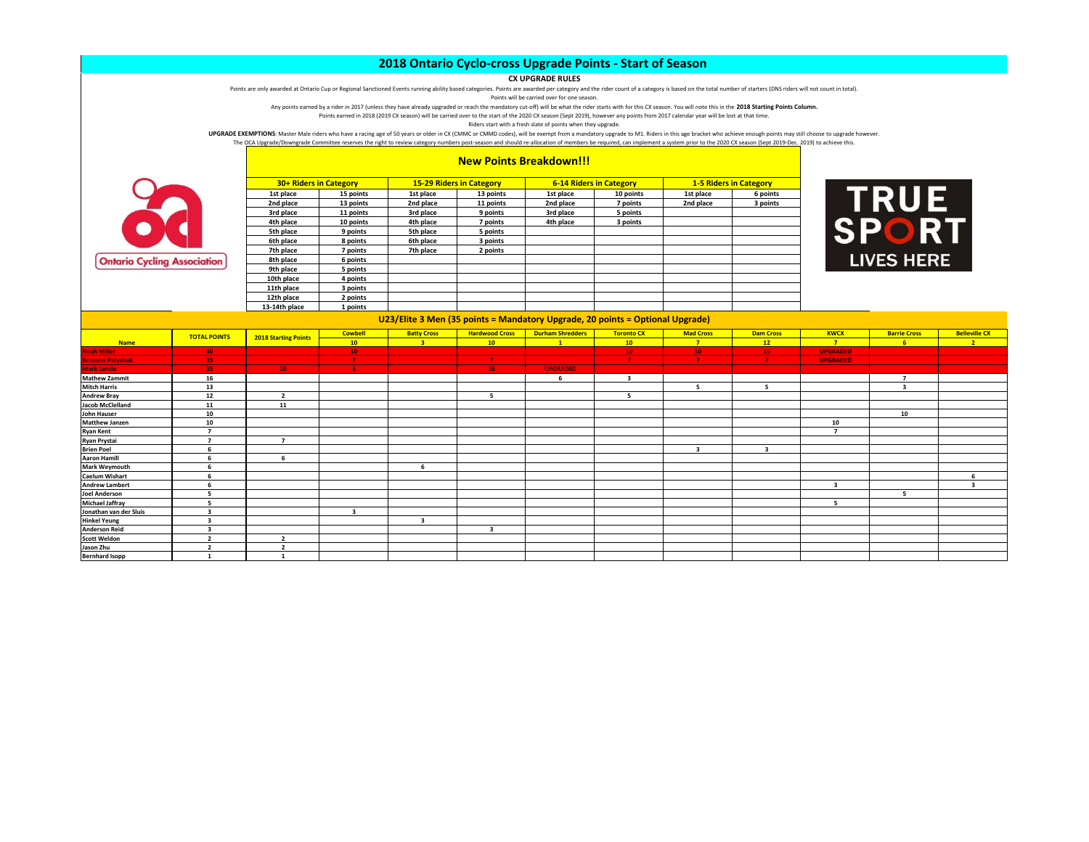## **CX UPGRADE RULES**

Points are only awarded at Ontario Cup or Regional Sanctioned Events running ability based categories. Points are awarded per category and the rider count of a category is based on the total number of starters (DNS riders

Points will be carried over for one season.

Any points earned by a rider in 2017 (unless they have already upgraded or reach the mandatory cut-off) will be what the rider starts with for this CX season. You will note this in the **2018 Starting Points Column.** Points earned in 2018 (2019 CX season) will be carried over to the start of the 2020 CX season (Sept 2019), however any points from 2017 calendar year will be lost at that time.

Riders start with a fresh slate of points when they upgrade.

UPGRADE EXEMPTIONS: Master Male riders who have a racing age of 50 years or older in CX (CMMC or CMMD codes), will be exempt from a mandatory upgrade to M1. Riders in this age bracket who achieve enough points may still ch

The OCA Upgrade/Downgrade Committee reserves the right to review category numbers post-season and should re-allocation of members be required, can implement a system prior to the 2020 CX season (Sept 2019-Dec. 2019) to ach



|  | <b>New Points Breakdown!!!</b> |  |  |  |
|--|--------------------------------|--|--|--|
|--|--------------------------------|--|--|--|

|               | 30+ Riders in Category |           | <b>15-29 Riders in Category</b> |           | <b>6-14 Riders in Category</b> | <b>1-5 Riders in Category</b> |          |  |
|---------------|------------------------|-----------|---------------------------------|-----------|--------------------------------|-------------------------------|----------|--|
| 1st place     | 15 points              | 1st place | 13 points                       | 1st place | 10 points                      | 1st place                     | 6 points |  |
| 2nd place     | 13 points              | 2nd place | 11 points                       | 2nd place | 7 points                       | 2nd place                     | 3 points |  |
| 3rd place     | 11 points              | 3rd place | 9 points                        | 3rd place | 5 points                       |                               |          |  |
| 4th place     | 10 points              | 4th place | 7 points                        | 4th place | 3 points                       |                               |          |  |
| 5th place     | 9 points               | 5th place | 5 points                        |           |                                |                               |          |  |
| 6th place     | 8 points               | 6th place | 3 points                        |           |                                |                               |          |  |
| 7th place     | 7 points               | 7th place | 2 points                        |           |                                |                               |          |  |
| 8th place     | 6 points               |           |                                 |           |                                |                               |          |  |
| 9th place     | 5 points               |           |                                 |           |                                |                               |          |  |
| 10th place    | 4 points               |           |                                 |           |                                |                               |          |  |
| 11th place    | 3 points               |           |                                 |           |                                |                               |          |  |
| 12th place    | 2 points               |           |                                 |           |                                |                               |          |  |
| 13-14th place | 1 points               |           |                                 |           |                                |                               |          |  |



| U23/Elite 3 Men (35 points = Mandatory Upgrade, 20 points = Optional Upgrade) |                          |                             |                |                    |                          |                         |                         |                  |                  |                          |                     |                         |  |
|-------------------------------------------------------------------------------|--------------------------|-----------------------------|----------------|--------------------|--------------------------|-------------------------|-------------------------|------------------|------------------|--------------------------|---------------------|-------------------------|--|
|                                                                               | <b>TOTAL POINTS</b>      | <b>2018 Starting Points</b> | <b>Cowbell</b> | <b>Batty Cross</b> | <b>Hardwood Cross</b>    | <b>Durham Shredders</b> | <b>Toronto CX</b>       | <b>Mad Cross</b> | <b>Dam Cross</b> | <b>KWCX</b>              | <b>Barrie Cross</b> | <b>Belleville CX</b>    |  |
| <b>Name</b>                                                                   |                          |                             | 10             | $\blacksquare$     | 10 <sup>°</sup>          | $\mathbf{1}$            | $10-10$                 | $\overline{7}$   | 12               | $\mathbf{r}$             | 6                   | 2 <sup>1</sup>          |  |
| <b>Noah Miller</b>                                                            | 40                       |                             | 10             |                    |                          |                         | 10                      | 10 <sub>1</sub>  | 10               | <b>UPGRADED</b>          |                     |                         |  |
| <b>Bronson Patychuk</b>                                                       | 35                       |                             | $\mathbf{7}$   |                    | $\mathbf{7}$             |                         | $\mathbf{7}$            | $\mathbf{7}$     | $\overline{7}$   | <b>UPGRADED</b>          |                     |                         |  |
| <b>Mark Lancia</b>                                                            | 35                       | $20 -$                      | -5             |                    | 10 <sup>°</sup>          | <b>UPGRADED</b>         |                         |                  |                  |                          |                     |                         |  |
| <b>Mathew Zammit</b>                                                          | 16                       |                             |                |                    |                          | -6                      | $\overline{\mathbf{3}}$ |                  |                  |                          |                     |                         |  |
| <b>Mitch Harris</b>                                                           | 13                       |                             |                |                    |                          |                         |                         |                  | 5                |                          | 3                   |                         |  |
| <b>Andrew Bray</b>                                                            | 12                       | $\overline{2}$              |                |                    | $\overline{\phantom{a}}$ |                         | 5                       |                  |                  |                          |                     |                         |  |
| <b>Jacob McClelland</b>                                                       | 11                       | 11                          |                |                    |                          |                         |                         |                  |                  |                          |                     |                         |  |
| John Hauser                                                                   | 10                       |                             |                |                    |                          |                         |                         |                  |                  |                          | 10                  |                         |  |
| Matthew Janzen                                                                | 10                       |                             |                |                    |                          |                         |                         |                  |                  | 10                       |                     |                         |  |
| <b>Ryan Kent</b>                                                              | $\overline{\phantom{a}}$ |                             |                |                    |                          |                         |                         |                  |                  | $\overline{\phantom{a}}$ |                     |                         |  |
| Ryan Prystai                                                                  | $\overline{\phantom{a}}$ | $\overline{\phantom{a}}$    |                |                    |                          |                         |                         |                  |                  |                          |                     |                         |  |
| <b>Brien Poel</b>                                                             | -6                       |                             |                |                    |                          |                         |                         |                  |                  |                          |                     |                         |  |
| <b>Aaron Hamill</b>                                                           |                          | 6                           |                |                    |                          |                         |                         |                  |                  |                          |                     |                         |  |
| Mark Weymouth                                                                 | 6                        |                             |                |                    |                          |                         |                         |                  |                  |                          |                     |                         |  |
| <b>Caelum Wishart</b>                                                         | 6                        |                             |                |                    |                          |                         |                         |                  |                  |                          |                     |                         |  |
| <b>Andrew Lambert</b>                                                         | 6                        |                             |                |                    |                          |                         |                         |                  |                  | 3                        |                     | $\overline{\mathbf{a}}$ |  |
| <b>Joel Anderson</b>                                                          | 5                        |                             |                |                    |                          |                         |                         |                  |                  |                          | 5                   |                         |  |
| <b>Michael Jaffray</b>                                                        | 5                        |                             |                |                    |                          |                         |                         |                  |                  | 5                        |                     |                         |  |
| Jonathan van der Sluis                                                        | $\overline{\mathbf{3}}$  |                             |                |                    |                          |                         |                         |                  |                  |                          |                     |                         |  |
| <b>Hinkel Yeung</b>                                                           | $\overline{\mathbf{3}}$  |                             |                |                    |                          |                         |                         |                  |                  |                          |                     |                         |  |
| <b>Anderson Reid</b>                                                          | 3                        |                             |                |                    | $\overline{\mathbf{3}}$  |                         |                         |                  |                  |                          |                     |                         |  |
| <b>Scott Weldon</b>                                                           | $\overline{2}$           | $\overline{\mathbf{2}}$     |                |                    |                          |                         |                         |                  |                  |                          |                     |                         |  |
| Jason Zhu                                                                     | $\overline{2}$           | $\mathbf{r}$                |                |                    |                          |                         |                         |                  |                  |                          |                     |                         |  |
| <b>Bernhard Isopp</b>                                                         |                          |                             |                |                    |                          |                         |                         |                  |                  |                          |                     |                         |  |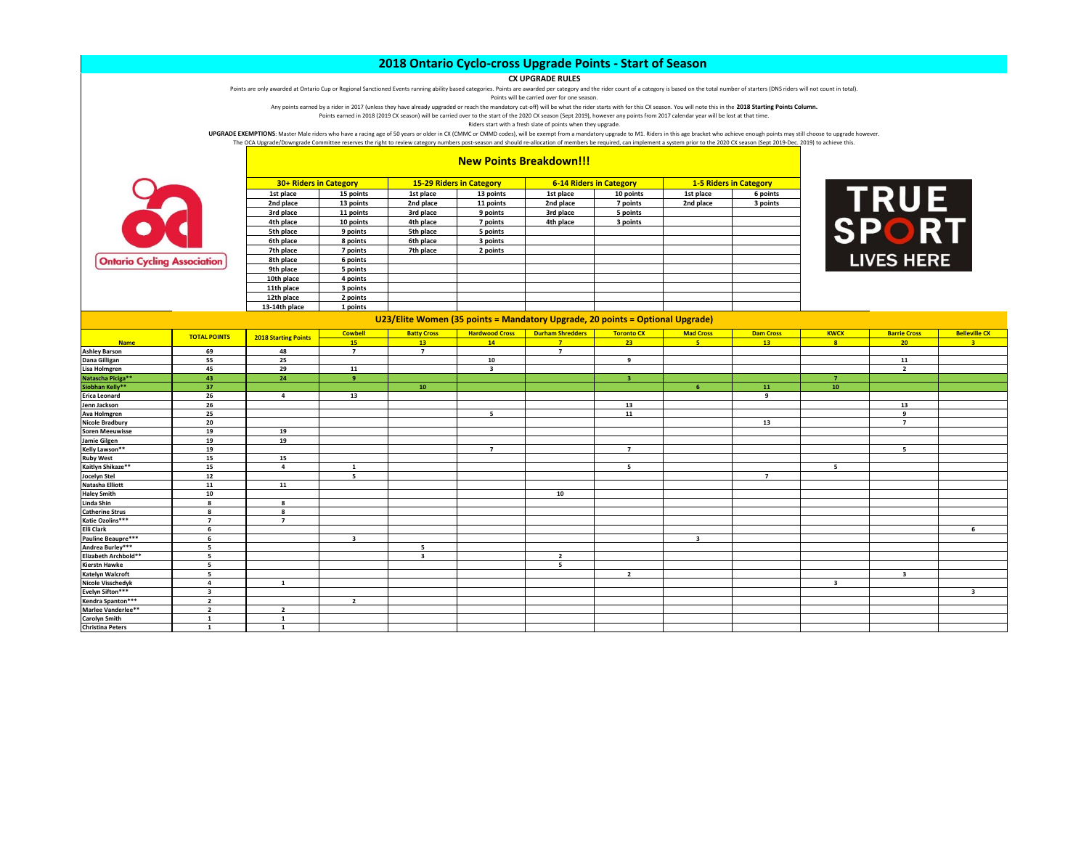## **CX UPGRADE RULES**

Points are only awarded at Ontario Cup or Regional Sanctioned Events running ability based categories. Points are awarded per category and the rider count of a category is based on the total number of starters (DNS riders

Points will be carried over for one season.

Any points earned by a rider in 2017 (unless they have already upgraded or reach the mandatory cut-off) will be what the rider starts with for this CX season. You will note this in the **2018 Starting Points Column.** Points earned in 2018 (2019 CX season) will be carried over to the start of the 2020 CX season (Sept 2019), however any points from 2017 calendar year will be lost at that time.

Riders start with a fresh slate of points when they upgrade.

UPGRADE EXEMPTIONS: Master Male riders who have a racing age of 50 years or older in CX (CMMC or CMMD codes), will be exempt from a mandatory upgrade to M1. Riders in this age bracket who achieve enough points may still ch The OCA Upgrade/Downgrade Committee reserves the right to review category numbers post-season and should re-allocation of members be required, can implement a system prior to the 2020 CX season (Sept 2019-Dec. 2019) to ach



|           | <b>15-29 Riders in Category</b> |           | <b>6-14 Riders in Category</b> |  |
|-----------|---------------------------------|-----------|--------------------------------|--|
| 1st place | 13 points                       | 1st place | 10 points                      |  |
| 2nd place | 11 points                       | 2nd place | 7 points                       |  |
|           |                                 |           |                                |  |

**New Points Breakdown!!!**



| <b>30+ Riders in Category</b> |           | <b>15-29 Riders in Category</b> |           | <b>6-14 Riders in Category</b> |           |           | <b>1-5 Riders in Category</b> |
|-------------------------------|-----------|---------------------------------|-----------|--------------------------------|-----------|-----------|-------------------------------|
| 1st place                     | 15 points | 1st place                       | 13 points | 1st place                      | 10 points | 1st place | 6 points                      |
| 2nd place                     | 13 points | 2nd place                       | 11 points | 2nd place                      | 7 points  | 2nd place | 3 points                      |
| 3rd place                     | 11 points | 3rd place                       | 9 points  | 3rd place                      | 5 points  |           |                               |
| 4th place                     | 10 points | 4th place                       | 7 points  | 4th place                      | 3 points  |           |                               |
| 5th place                     | 9 points  | 5th place                       | 5 points  |                                |           |           |                               |
| 6th place                     | 8 points  | 6th place                       | 3 points  |                                |           |           |                               |
| 7th place                     | 7 points  | 7th place                       | 2 points  |                                |           |           |                               |
| 8th place                     | 6 points  |                                 |           |                                |           |           |                               |
| 9th place                     | 5 points  |                                 |           |                                |           |           |                               |
| 10th place                    | 4 points  |                                 |           |                                |           |           |                               |
| 11th place                    | 3 points  |                                 |           |                                |           |           |                               |
| 12th place                    | 2 points  |                                 |           |                                |           |           |                               |
| 13-14th place                 | 1 points  |                                 |           |                                |           |           |                               |



|                                          |                                                                               |                             | $-2$ points             |                         | the contract of the contract of the contract of the contract of the contract of the contract of the contract of |                         |                   |                         |                  |                         |                     |                      |  |
|------------------------------------------|-------------------------------------------------------------------------------|-----------------------------|-------------------------|-------------------------|-----------------------------------------------------------------------------------------------------------------|-------------------------|-------------------|-------------------------|------------------|-------------------------|---------------------|----------------------|--|
|                                          | U23/Elite Women (35 points = Mandatory Upgrade, 20 points = Optional Upgrade) |                             |                         |                         |                                                                                                                 |                         |                   |                         |                  |                         |                     |                      |  |
|                                          |                                                                               |                             | <b>Cowbell</b>          | <b>Batty Cross</b>      | <b>Hardwood Cross</b>                                                                                           | <b>Durham Shredders</b> | <b>Toronto CX</b> | <b>Mad Cross</b>        | <b>Dam Cross</b> | <b>KWCX</b>             | <b>Barrie Cross</b> | <b>Belleville CX</b> |  |
| <b>Name</b>                              | <b>TOTAL POINTS</b>                                                           | <b>2018 Starting Points</b> | 15                      | 13                      | 14                                                                                                              | $\overline{7}$          | 23                | 5                       | 13               | $\mathbf{g}$            | 20 <sup>2</sup>     | $\overline{2}$       |  |
| <b>Ashley Barson</b>                     | 69                                                                            | 48                          | $\overline{7}$          | $\overline{7}$          |                                                                                                                 | $\overline{7}$          |                   |                         |                  |                         |                     |                      |  |
| Dana Gilligan                            | 55                                                                            | 25                          |                         |                         | 10                                                                                                              |                         | 9                 |                         |                  |                         | 11                  |                      |  |
| Lisa Holmgren                            | 45                                                                            | 29                          | 11                      |                         | $\overline{\mathbf{3}}$                                                                                         |                         |                   |                         |                  |                         | $\overline{2}$      |                      |  |
| Natascha Piciga**                        | 43                                                                            | 24                          | 9                       |                         |                                                                                                                 |                         | -3                |                         |                  | $\overline{7}$          |                     |                      |  |
| Siobhan Kelly**                          | 37                                                                            |                             |                         | 10                      |                                                                                                                 |                         |                   | 6                       | 11               | 10                      |                     |                      |  |
| <b>Erica Leonard</b>                     | 26                                                                            | $\Delta$                    | 13                      |                         |                                                                                                                 |                         |                   |                         | $\mathbf{q}$     |                         |                     |                      |  |
| Jenn Jackson                             | 26                                                                            |                             |                         |                         |                                                                                                                 |                         | 13                |                         |                  |                         | 13                  |                      |  |
| Ava Holmgren                             | 25                                                                            |                             |                         |                         | 5                                                                                                               |                         | 11                |                         |                  |                         | 9                   |                      |  |
| <b>Nicole Bradbury</b>                   | 20                                                                            |                             |                         |                         |                                                                                                                 |                         |                   |                         | 13               |                         | $\overline{7}$      |                      |  |
| <b>Soren Meeuwisse</b>                   | 19                                                                            | 19                          |                         |                         |                                                                                                                 |                         |                   |                         |                  |                         |                     |                      |  |
| Jamie Gilgen                             | 19                                                                            | 19                          |                         |                         |                                                                                                                 |                         |                   |                         |                  |                         |                     |                      |  |
| Kelly Lawson**                           | 19                                                                            |                             |                         |                         | $\overline{7}$                                                                                                  |                         | $\overline{7}$    |                         |                  |                         | -5                  |                      |  |
| <b>Ruby West</b>                         | 15                                                                            | 15                          |                         |                         |                                                                                                                 |                         |                   |                         |                  |                         |                     |                      |  |
| Kaitlyn Shikaze**                        | 15                                                                            | $\overline{a}$              | $\mathbf{1}$            |                         |                                                                                                                 |                         | -5                |                         |                  | -5                      |                     |                      |  |
| Jocelyn Stel                             | 12                                                                            |                             | -5                      |                         |                                                                                                                 |                         |                   |                         | $\overline{7}$   |                         |                     |                      |  |
| Natasha Elliott                          | 11                                                                            | 11                          |                         |                         |                                                                                                                 |                         |                   |                         |                  |                         |                     |                      |  |
| <b>Haley Smith</b>                       | 10                                                                            |                             |                         |                         |                                                                                                                 | 10                      |                   |                         |                  |                         |                     |                      |  |
| Linda Shin                               | 8                                                                             | 8                           |                         |                         |                                                                                                                 |                         |                   |                         |                  |                         |                     |                      |  |
| <b>Catherine Strus</b>                   | 8                                                                             | 8                           |                         |                         |                                                                                                                 |                         |                   |                         |                  |                         |                     |                      |  |
| Katie Ozolins***                         | $\overline{7}$                                                                | $\overline{7}$              |                         |                         |                                                                                                                 |                         |                   |                         |                  |                         |                     |                      |  |
| <b>Elli Clark</b>                        | 6                                                                             |                             |                         |                         |                                                                                                                 |                         |                   |                         |                  |                         |                     | -6                   |  |
| Pauline Beaupre***                       | -6                                                                            |                             | $\overline{\mathbf{3}}$ |                         |                                                                                                                 |                         |                   | $\overline{\mathbf{3}}$ |                  |                         |                     |                      |  |
| Andrea Burley***                         | 5                                                                             |                             |                         | - 5                     |                                                                                                                 |                         |                   |                         |                  |                         |                     |                      |  |
| Elizabeth Archbold**                     | 5                                                                             |                             |                         | $\overline{\mathbf{3}}$ |                                                                                                                 | $\overline{2}$          |                   |                         |                  |                         |                     |                      |  |
| <b>Kierstn Hawke</b>                     | 5                                                                             |                             |                         |                         |                                                                                                                 | 5                       |                   |                         |                  |                         |                     |                      |  |
| <b>Katelyn Walcroft</b>                  | -5                                                                            |                             |                         |                         |                                                                                                                 |                         | $\overline{2}$    |                         |                  |                         | 3                   |                      |  |
| <b>Nicole Visschedyk</b>                 | $\overline{a}$                                                                | $\mathbf{1}$                |                         |                         |                                                                                                                 |                         |                   |                         |                  | $\overline{\mathbf{3}}$ |                     |                      |  |
| Evelyn Sifton***                         | $\overline{\mathbf{3}}$                                                       |                             |                         |                         |                                                                                                                 |                         |                   |                         |                  |                         |                     | ર                    |  |
| Kendra Spanton***                        | $\overline{2}$                                                                |                             | $\overline{2}$          |                         |                                                                                                                 |                         |                   |                         |                  |                         |                     |                      |  |
| Marlee Vanderlee**                       | $\overline{2}$                                                                | $\overline{2}$              |                         |                         |                                                                                                                 |                         |                   |                         |                  |                         |                     |                      |  |
| <b>Carolyn Smith</b><br>Christina Peters | $\mathbf{1}$                                                                  |                             |                         |                         |                                                                                                                 |                         |                   |                         |                  |                         |                     |                      |  |
|                                          |                                                                               |                             |                         |                         |                                                                                                                 |                         |                   |                         |                  |                         |                     |                      |  |